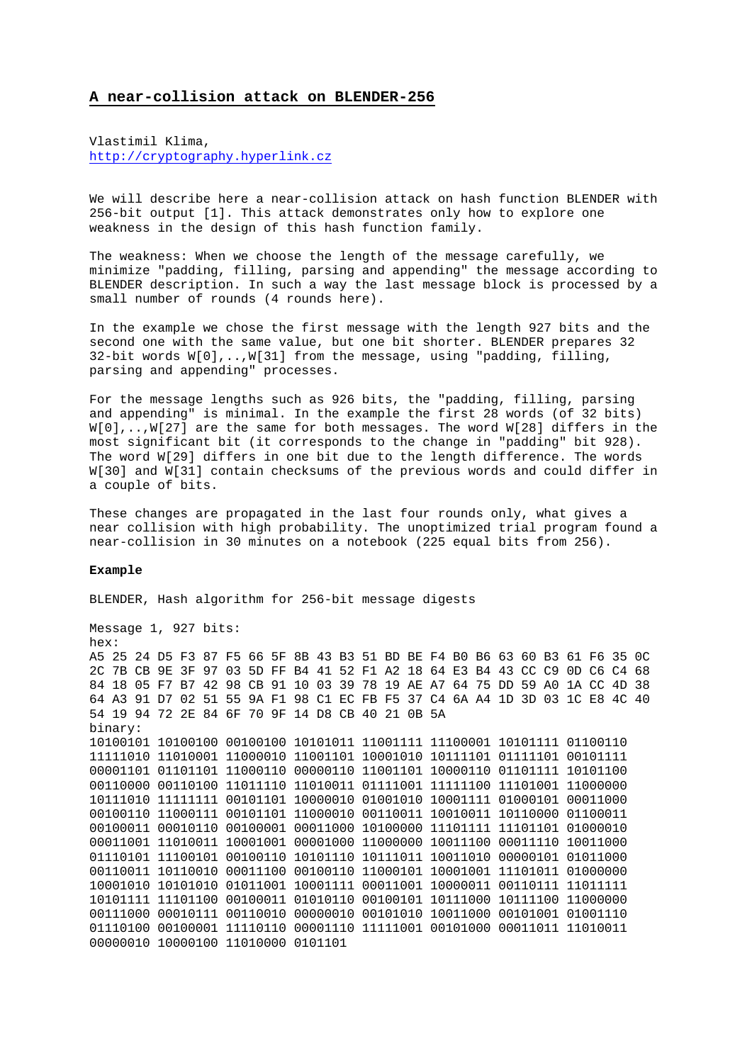## **A near-collision attack on BLENDER-256**

Vlastimil Klima, [http://cryptography.hyperlink.cz](http://cryptography.hyperlink.cz/)

We will describe here a near-collision attack on hash function BLENDER with 256-bit output [1]. This attack demonstrates only how to explore one weakness in the design of this hash function family.

The weakness: When we choose the length of the message carefully, we minimize "padding, filling, parsing and appending" the message according to BLENDER description. In such a way the last message block is processed by a small number of rounds (4 rounds here).

In the example we chose the first message with the length 927 bits and the second one with the same value, but one bit shorter. BLENDER prepares 32 32-bit words W[0],..,W[31] from the message, using "padding, filling, parsing and appending" processes.

For the message lengths such as 926 bits, the "padding, filling, parsing and appending" is minimal. In the example the first 28 words (of 32 bits) W[0],..,W[27] are the same for both messages. The word W[28] differs in the most significant bit (it corresponds to the change in "padding" bit 928). The word W[29] differs in one bit due to the length difference. The words W[30] and W[31] contain checksums of the previous words and could differ in a couple of bits.

These changes are propagated in the last four rounds only, what gives a near collision with high probability. The unoptimized trial program found a near-collision in 30 minutes on a notebook (225 equal bits from 256).

## **Example**

BLENDER, Hash algorithm for 256-bit message digests

Message 1, 927 bits: hex: A5 25 24 D5 F3 87 F5 66 5F 8B 43 B3 51 BD BE F4 B0 B6 63 60 B3 61 F6 35 0C 2C 7B CB 9E 3F 97 03 5D FF B4 41 52 F1 A2 18 64 E3 B4 43 CC C9 0D C6 C4 68 84 18 05 F7 B7 42 98 CB 91 10 03 39 78 19 AE A7 64 75 DD 59 A0 1A CC 4D 38 64 A3 91 D7 02 51 55 9A F1 98 C1 EC FB F5 37 C4 6A A4 1D 3D 03 1C E8 4C 40 54 19 94 72 2E 84 6F 70 9F 14 D8 CB 40 21 0B 5A binary: 10100101 10100100 00100100 10101011 11001111 11100001 10101111 01100110 11111010 11010001 11000010 11001101 10001010 10111101 01111101 00101111 00001101 01101101 11000110 00000110 11001101 10000110 01101111 10101100 00110000 00110100 11011110 11010011 01111001 11111100 11101001 11000000 10111010 11111111 00101101 10000010 01001010 10001111 01000101 00011000 00100110 11000111 00101101 11000010 00110011 10010011 10110000 01100011 00100011 00010110 00100001 00011000 10100000 11101111 11101101 01000010 00011001 11010011 10001001 00001000 11000000 10011100 00011110 10011000 01110101 11100101 00100110 10101110 10111011 10011010 00000101 01011000 00110011 10110010 00011100 00100110 11000101 10001001 11101011 01000000 10001010 10101010 01011001 10001111 00011001 10000011 00110111 11011111 10101111 11101100 00100011 01010110 00100101 10111000 10111100 11000000 00111000 00010111 00110010 00000010 00101010 10011000 00101001 01001110 01110100 00100001 11110110 00001110 11111001 00101000 00011011 11010011 00000010 10000100 11010000 0101101